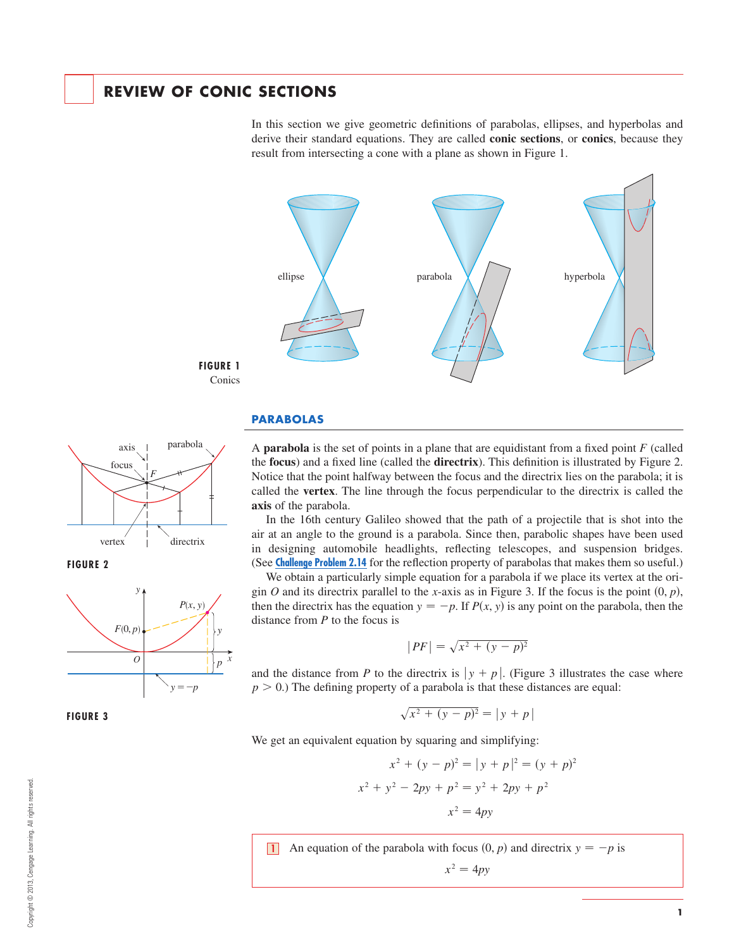# **REVIEW OF CONIC SECTIONS**

In this section we give geometric definitions of parabolas, ellipses, and hyperbolas and derive their standard equations. They are called **conic sections**, or **conics**, because they result from intersecting a cone with a plane as shown in Figure 1.



#### **PARABOLAS**

A **parabola** is the set of points in a plane that are equidistant from a fixed point F (called the **focus**) and a fixed line (called the **directrix**). This definition is illustrated by Figure 2. Notice that the point halfway between the focus and the directrix lies on the parabola; it is called the **vertex**. The line through the focus perpendicular to the directrix is called the **axis** of the parabola.

In the 16th century Galileo showed that the path of a projectile that is shot into the air at an angle to the ground is a parabola. Since then, parabolic shapes have been used in designing automobile headlights, reflecting telescopes, and suspension bridges. (See **Challenge Problem 2.14** for the reflection property of parabolas that makes them so useful.)

We obtain a particularly simple equation for a parabola if we place its vertex at the origin O and its directrix parallel to the x-axis as in Figure 3. If the focus is the point  $(0, p)$ , then the directrix has the equation  $y = -p$ . If  $P(x, y)$  is any point on the parabola, then the distance from  $P$  to the focus is

$$
|PF| = \sqrt{x^2 + (y - p)^2}
$$

and the distance from P to the directrix is  $|y + p|$ . (Figure 3 illustrates the case where  $p > 0$ .) The defining property of a parabola is that these distances are equal:

$$
\sqrt{x^2 + (y - p)^2} = |y + p|
$$

We get an equivalent equation by squaring and simplifying:

$$
x^{2} + (y - p)^{2} = |y + p|^{2} = (y + p)^{2}
$$

$$
x^{2} + y^{2} - 2py + p^{2} = y^{2} + 2py + p^{2}
$$

$$
x^{2} = 4py
$$

**1** An equation of the parabola with focus  $(0, p)$  and directrix  $y = -p$  is

$$
x^2 = 4py
$$



parabola

**FIGURE 2**



**FIGURE 3**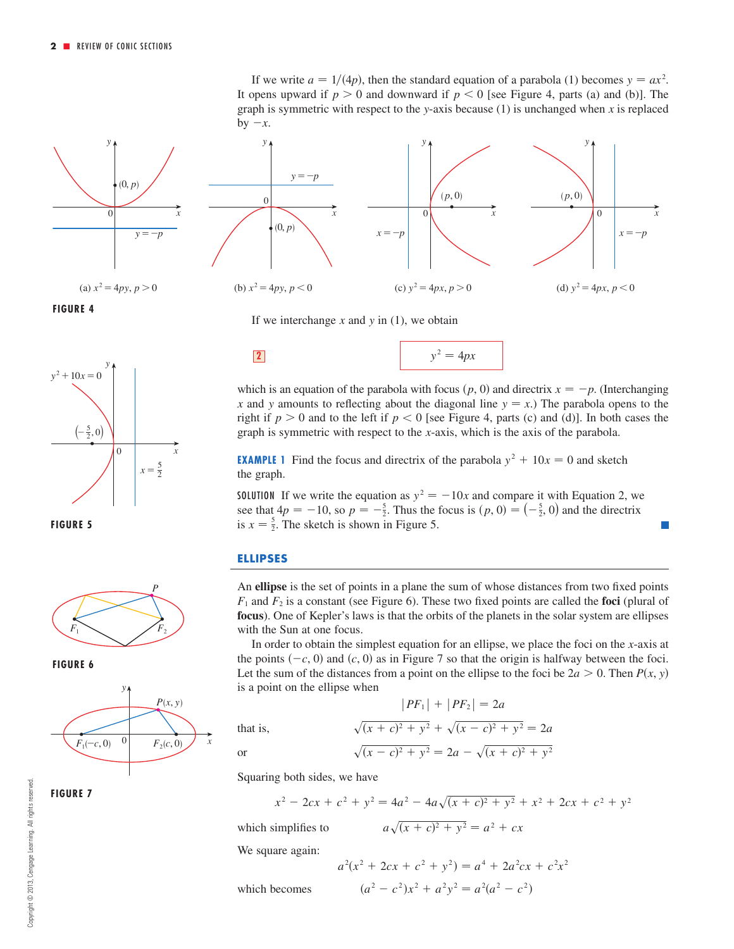

(a)  $x^2 = 4py$ ,  $p > 0$ 

**FIGURE 4**



**FIGURE 5**



**FIGURE 6**

**FIGURE 7**



If we write  $a = 1/(4p)$ , then the standard equation of a parabola (1) becomes  $y = ax^2$ . It opens upward if  $p > 0$  and downward if  $p < 0$  [see Figure 4, parts (a) and (b)]. The graph is symmetric with respect to the y-axis because  $(1)$  is unchanged when x is replaced by  $-x$ .



If we interchange  $x$  and  $y$  in (1), we obtain



which is an equation of the parabola with focus  $(p, 0)$  and directrix  $x = -p$ . (Interchanging x and y amounts to reflecting about the diagonal line  $y = x$ .) The parabola opens to the right if  $p > 0$  and to the left if  $p < 0$  [see Figure 4, parts (c) and (d)]. In both cases the graph is symmetric with respect to the  $x$ -axis, which is the axis of the parabola.

**EXAMPLE 1** Find the focus and directrix of the parabola  $y^2 + 10x = 0$  and sketch the graph.

**SOLUTION** If we write the equation as  $y^2 = -10x$  and compare it with Equation 2, we see that  $4p = -10$ , so  $p = -\frac{5}{2}$ . Thus the focus is  $(p, 0) = \left(-\frac{5}{2}, 0\right)$  and the directrix is  $x = \frac{5}{2}$ . The sketch is shown in Figure 5.

**I** 

### **ELLIPSES**

An **ellipse** is the set of points in a plane the sum of whose distances from two fixed points  $F_1$  and  $F_2$  is a constant (see Figure 6). These two fixed points are called the **foci** (plural of **focus**). One of Kepler's laws is that the orbits of the planets in the solar system are ellipses with the Sun at one focus.

In order to obtain the simplest equation for an ellipse, we place the foci on the  $x$ -axis at the points  $(-c, 0)$  and  $(c, 0)$  as in Figure 7 so that the origin is halfway between the foci. Let the sum of the distances from a point on the ellipse to the foci be  $2a > 0$ . Then  $P(x, y)$ is a point on the ellipse when

 $|PF_1| + |PF_2| = 2a$ 

that is,

or

$$
\sqrt{(x + c)^2 + y^2} + \sqrt{(x - c)^2 + y^2} = 2a
$$
  

$$
\sqrt{(x - c)^2 + y^2} = 2a - \sqrt{(x + c)^2 + y^2}
$$

Squaring both sides, we have

which simplifies to  $a\sqrt{(x + c)^2 + y^2} = a^2 + cx$  $x^2 - 2cx + c^2 + y^2 = 4a^2 - 4a\sqrt{(x + c)^2 + y^2} + x^2 + 2cx + c^2 + y^2$ 

We square again:

which becomes 
$$
(a^2 - c^2)
$$

$$
a2(x2 + 2cx + c2 + y2) = a4 + 2a2cx + c2x2
$$

$$
(a2 - c2)x2 + a2y2 = a2(a2 - c2)
$$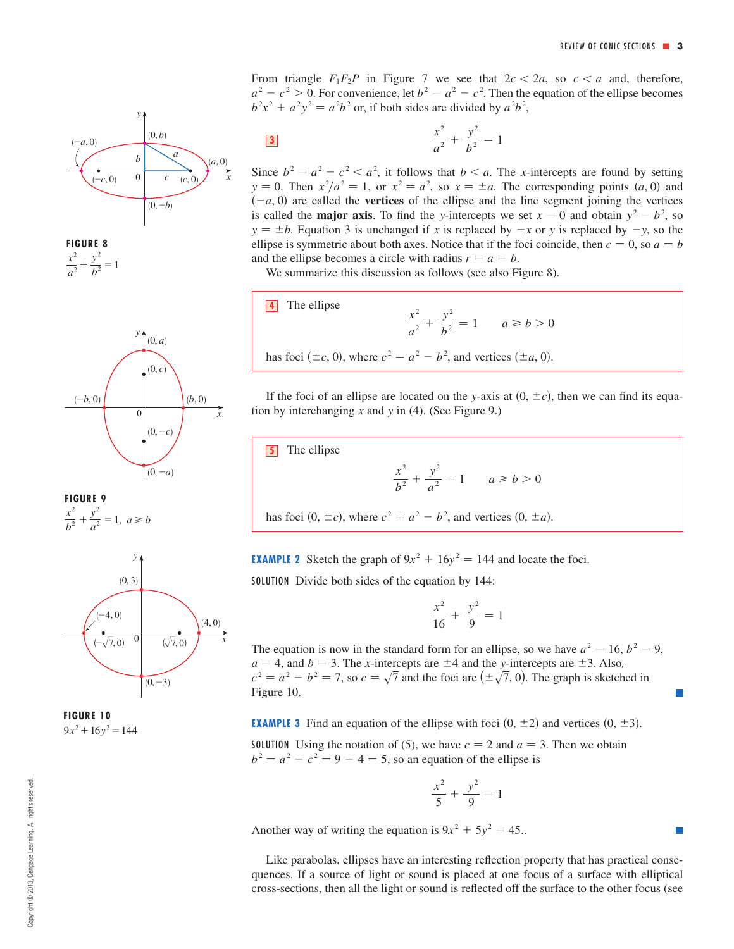From triangle  $F_1F_2P$  in Figure 7 we see that  $2c < 2a$ , so  $c < a$  and, therefore,  $a^2 - c^2 > 0$ . For convenience, let  $b^2 = a^2 - c^2$ . Then the equation of the ellipse becomes  $b^2x^2 + a^2y^2 = a^2b^2$  or, if both sides are divided by  $a^2b^2$ ,

$$
\frac{x^2}{a^2} + \frac{y^2}{b^2} = 1
$$

Since  $b^2 = a^2 - c^2 < a^2$ , it follows that  $b < a$ . The *x*-intercepts are found by setting  $x = y = 0$ . Then  $x^2/a^2 = 1$ , or  $x^2 = a^2$ , so  $x = \pm a$ . The corresponding points  $(a, 0)$  and  $(-a, 0)$  are called the **vertices** of the ellipse and the line segment joining the vertices is called the **major axis**. To find the y-intercepts we set  $x = 0$  and obtain  $y^2 = b^2$ , so  $y = \pm b$ . Equation 3 is unchanged if x is replaced by  $-x$  or y is replaced by  $-y$ , so the ellipse is symmetric about both axes. Notice that if the foci coincide, then  $c = 0$ , so  $a = b$ and the ellipse becomes a circle with radius  $r = a = b$ .

We summarize this discussion as follows (see also Figure 8).

**4** The ellipse  
\n
$$
\frac{x^2}{a^2} + \frac{y^2}{b^2} = 1 \qquad a \ge b > 0
$$
\nhas foci ( $\pm c$ , 0), where  $c^2 = a^2 - b^2$ , and vertices ( $\pm a$ , 0).

If the foci of an ellipse are located on the y-axis at  $(0, \pm c)$ , then we can find its equation by interchanging  $x$  and  $y$  in (4). (See Figure 9.)

**5** The ellipse

$$
\frac{x^2}{b^2} + \frac{y^2}{a^2} = 1 \qquad a \ge b > 0
$$

has foci  $(0, \pm c)$ , where  $c^2 = a^2 - b^2$ , and vertices  $(0, \pm a)$ .

**EXAMPLE 2** Sketch the graph of  $9x^2 + 16y^2 = 144$  and locate the foci.

SOLUTION Divide both sides of the equation by 144:

$$
\frac{x^2}{16} + \frac{y^2}{9} = 1
$$

The equation is now in the standard form for an ellipse, so we have  $a^2 = 16$ ,  $b^2 = 9$ ,  $a = 4$ , and  $b = 3$ . The *x*-intercepts are  $\pm 4$  and the *y*-intercepts are  $\pm 3$ . Also,  $c^2 = a^2 - b^2 = 7$ , so  $c = \sqrt{7}$  and the foci are  $(\pm \sqrt{7}, 0)$ . The graph is sketched in Figure 10.

**EXAMPLE 3** Find an equation of the ellipse with foci  $(0, \pm 2)$  and vertices  $(0, \pm 3)$ .

**SOLUTION** Using the notation of (5), we have  $c = 2$  and  $a = 3$ . Then we obtain  $b<sup>2</sup> = a<sup>2</sup> - c<sup>2</sup> = 9 - 4 = 5$ , so an equation of the ellipse is

$$
\frac{x^2}{5} + \frac{y^2}{9} = 1
$$

Another way of writing the equation is  $9x^2 + 5y^2 = 45$ .

Like parabolas, ellipses have an interesting reflection property that has practical consequences. If a source of light or sound is placed at one focus of a surface with elliptical cross-sections, then all the light or sound is reflected off the surface to the other focus (see









**FIGURE 10**  $9x^2+16y^2=144$ 

 $x^2$  $b^2$   $+\frac{y^2}{a^2} = 1, a \ge b$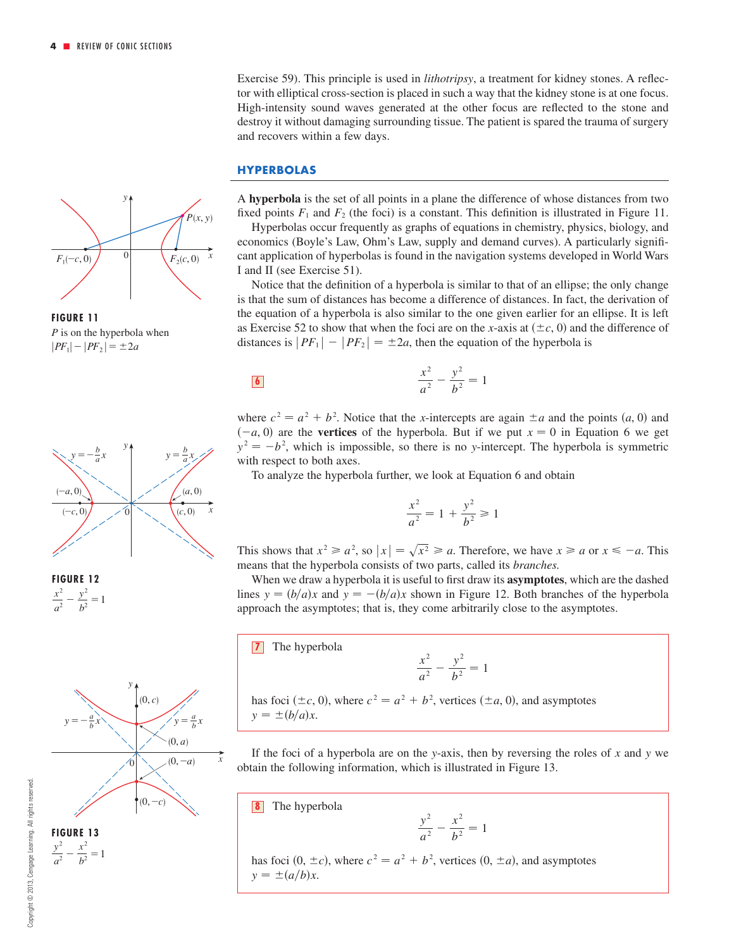Exercise 59). This principle is used in *lithotripsy*, a treatment for kidney stones. A reflector with elliptical cross-section is placed in such a way that the kidney stone is at one focus. High-intensity sound waves generated at the other focus are reflected to the stone and destroy it without damaging surrounding tissue. The patient is spared the trauma of surgery and recovers within a few days.

#### **HYPERBOLAS**

A **hyperbola** is the set of all points in a plane the difference of whose distances from two fixed points  $F_1$  and  $F_2$  (the foci) is a constant. This definition is illustrated in Figure 11.

Hyperbolas occur frequently as graphs of equations in chemistry, physics, biology, and economics (Boyle's Law, Ohm's Law, supply and demand curves). A particularly significant application of hyperbolas is found in the navigation systems developed in World Wars I and II (see Exercise 51).

Notice that the definition of a hyperbola is similar to that of an ellipse; the only change is that the sum of distances has become a difference of distances. In fact, the derivation of the equation of a hyperbola is also similar to the one given earlier for an ellipse. It is left as Exercise 52 to show that when the foci are on the x-axis at  $(\pm c, 0)$  and the difference of distances is  $|PF_1| - |PF_2| = \pm 2a$ , then the equation of the hyperbola is

6 
$$
\frac{x^2}{a^2} - \frac{y^2}{b^2} = 1
$$

where  $c^2 = a^2 + b^2$ . Notice that the *x*-intercepts are again  $\pm a$  and the points  $(a, 0)$  and  $(-a, 0)$  are the **vertices** of the hyperbola. But if we put  $x = 0$  in Equation 6 we get  $y^2 = -b^2$ , which is impossible, so there is no y-intercept. The hyperbola is symmetric with respect to both axes.

To analyze the hyperbola further, we look at Equation 6 and obtain

$$
\frac{x^2}{a^2} = 1 + \frac{y^2}{b^2} \ge 1
$$

This shows that  $x^2 \ge a^2$ , so  $|x| = \sqrt{x^2} \ge a$ . Therefore, we have  $x \ge a$  or  $x \le -a$ . This means that the hyperbola consists of two parts, called its *branches.*

When we draw a hyperbola it is useful to first draw its **asymptotes**, which are the dashed lines  $y = (b/a)x$  and  $y = -(b/a)x$  shown in Figure 12. Both branches of the hyperbola approach the asymptotes; that is, they come arbitrarily close to the asymptotes.

**7** The hyperbola

$$
\frac{x^2}{a^2} - \frac{y^2}{b^2} = 1
$$

has foci ( $\pm c$ , 0), where  $c^2 = a^2 + b^2$ , vertices ( $\pm a$ , 0), and asymptotes  $y = \pm (b/a)x$ .

If the foci of a hyperbola are on the y-axis, then by reversing the roles of  $x$  and  $y$  we obtain the following information, which is illustrated in Figure 13.

The hyperbola **8**

$$
\frac{y^2}{a^2} - \frac{x^2}{b^2} = 1
$$

has foci  $(0, \pm c)$ , where  $c^2 = a^2 + b^2$ , vertices  $(0, \pm a)$ , and asymptotes  $y = \pm (a/b)x$ .



**FIGURE 11** *P* is on the hyperbola when  $|PF_1|-|PF_2|=\pm 2a$ 



**FIGURE 12**  $rac{x^2}{a^2} - \frac{y^2}{b^2} = 1$ 

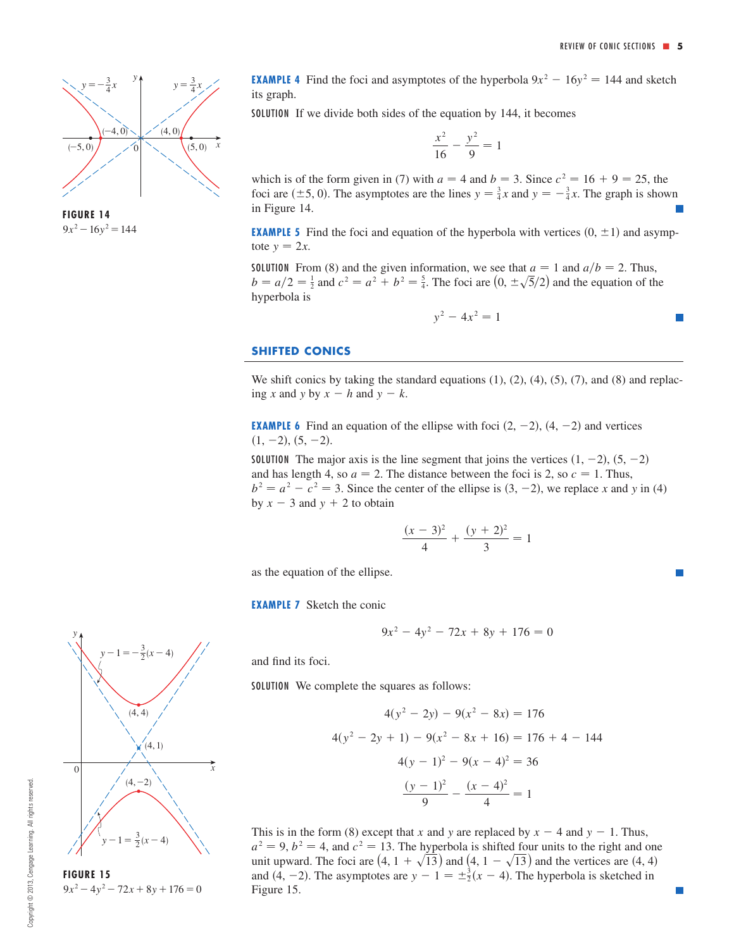

**FIGURE 14**  $9x^2-16y^2=144$ 

**EXAMPLE 4** Find the foci and asymptotes of the hyperbola  $9x^2 - 16y^2 = 144$  and sketch its graph.

SOLUTION If we divide both sides of the equation by 144, it becomes

$$
\frac{x^2}{16} - \frac{y^2}{9} = 1
$$

which is of the form given in (7) with  $a = 4$  and  $b = 3$ . Since  $c^2 = 16 + 9 = 25$ , the foci are  $(\pm 5, 0)$ . The asymptotes are the lines  $y = \frac{3}{4}x$  and  $y = -\frac{3}{4}x$ . The graph is shown in Figure 14.

**EXAMPLE 5** Find the foci and equation of the hyperbola with vertices  $(0, \pm 1)$  and asymptote  $y = 2x$ .

**SOLUTION** From (8) and the given information, we see that  $a = 1$  and  $a/b = 2$ . Thus,  $b = a/2 = \frac{1}{2}$  and  $c^2 = a^2 + b^2 = \frac{5}{4}$ . The foci are  $(0, \pm \sqrt{5}/2)$  and the equation of the hyperbola is

$$
y^2 - 4x^2 = 1
$$

#### **SHIFTED CONICS**

We shift conics by taking the standard equations  $(1)$ ,  $(2)$ ,  $(4)$ ,  $(5)$ ,  $(7)$ , and  $(8)$  and replac- $\int x \text{ and } y \text{ by } x - h \text{ and } y - k.$ 

**EXAMPLE 6** Find an equation of the ellipse with foci  $(2, -2)$ ,  $(4, -2)$  and vertices  $(1, -2), (5, -2).$ 

SOLUTION The major axis is the line segment that joins the vertices  $(1, -2)$ ,  $(5, -2)$ and has length 4, so  $a = 2$ . The distance between the foci is 2, so  $c = 1$ . Thus,  $b^2 = a^2 - c^2 = 3$ . Since the center of the ellipse is  $(3, -2)$ , we replace x and y in (4) by  $x - 3$  and  $y + 2$  to obtain

$$
\frac{(x-3)^2}{4} + \frac{(y+2)^2}{3} = 1
$$

as the equation of the ellipse.

**EXAMPLE 7** Sketch the conic

$$
9x^2 - 4y^2 - 72x + 8y + 176 = 0
$$

and find its foci.

SOLUTION We complete the squares as follows:

$$
4(y^{2} - 2y) - 9(x^{2} - 8x) = 176
$$
  

$$
4(y^{2} - 2y + 1) - 9(x^{2} - 8x + 16) = 176 + 4 - 144
$$
  

$$
4(y - 1)^{2} - 9(x - 4)^{2} = 36
$$
  

$$
\frac{(y - 1)^{2}}{9} - \frac{(x - 4)^{2}}{4} = 1
$$

This is in the form (8) except that x and y are replaced by  $x - 4$  and  $y - 1$ . Thus,  $a^2 = 9$ ,  $b^2 = 4$ , and  $c^2 = 13$ . The hyperbola is shifted four units to the right and one unit upward. The foci are  $(4, 1 + \sqrt{13})$  and  $(4, 1 - \sqrt{13})$  and the vertices are  $(4, 4)$ and (4, -2). The asymptotes are  $y - 1 = \pm \frac{3}{2}(x - 4)$ . The hyperbola is sketched in Figure 15.



y

 $9x^2-4y^2-72x+8y+176=0$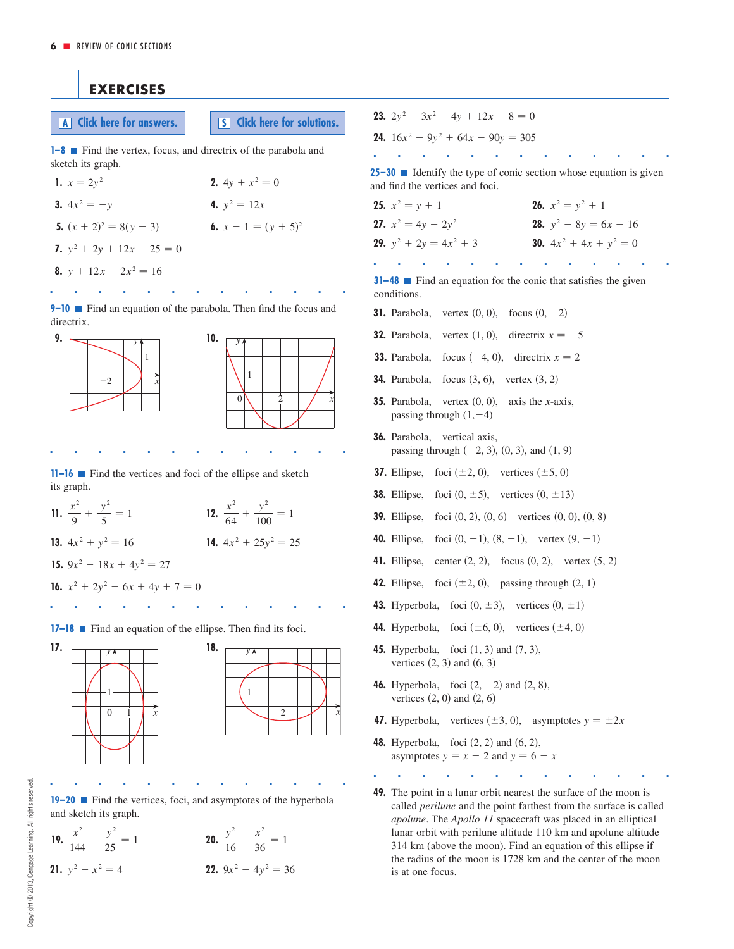# **EXERCISES**

**A Click** here for answers. **S Click** here for solutions.

**1–8** ■ Find the vertex, focus, and directrix of the parabola and sketch its graph.

1.  $x = 2y^2$ **3.**  $4x^2 = -y$ **5.**  $(x + 2)^2 = 8(y - 3)$ <br>**6.**  $x - 1 = (y + 5)^2$ **7.**  $y^2 + 2y + 12x + 25 = 0$ **8.**  $y + 12x - 2x^2 = 16$  $x - 1 = (y + 5)$ 4.  $y^2 = 12x$  $x = 2y^2$  **2.**  $4y + x^2 = 0$ 

**9–10 Find an equation of the parabola. Then find the focus and** directrix.

■■■■■■■■■■■■■



■■■■■■■■■■■■■

**11–16** ■ Find the vertices and foci of the ellipse and sketch its graph.

**11.**  $\frac{x^2}{9} + \frac{y^2}{5} = 1$  **12. 13.**  $4x^2 + y^2 = 16$  **14. 15.**  $9x^2 - 18x + 4y^2 = 27$ **16.**  $x^2 + 2y^2 - 6x + 4y + 7 = 0$  $4x^2 + y^2 = 16$  **14.**  $4x^2 + 25y^2 = 25$ *x* 2  $\frac{x^2}{9} + \frac{y^2}{5} = 1$  **12.**  $\frac{x^2}{64} + \frac{y^2}{100} = 1$ 

**17–18** ■ Find an equation of the ellipse. Then find its foci.

■■■■■■■■■■■■■



■■■■■■■■■■■■■ **19–20** ■ Find the vertices, foci, and asymptotes of the hyperbola and sketch its graph.

**19.** 
$$
\frac{x^2}{144} - \frac{y^2}{25} = 1
$$
  
\n**20.** 
$$
\frac{y^2}{16} - \frac{x^2}{36} = 1
$$
  
\n**21.** 
$$
y^2 - x^2 = 4
$$
  
\n**22.** 
$$
9x^2 - 4y^2 = 36
$$

- **23.**  $2y^2 3x^2 4y + 12x +$
- **24.**  $16x^2 9y^2 + 64x 90y = 305$

■■■■■■■■■■■■■ **25–30** ■ Identify the type of conic section whose equation is given and find the vertices and foci.

**25.**  $x^2 = y + 1$  **26. 27.**  $x^2 = 4y - 2y^2$ **29.**  $y^2 + 2y = 4x^2 + 3$  **30.**  $y^2 + 2y = 4x^2 + 3$  **30.**  $4x^2 + 4x + y^2 = 0$ **28.**  $y^2 - 8y = 6x - 16$  $x^2 = y + 1$  26.  $x^2 = y^2 + 1$ 

**31–48** ■ Find an equation for the conic that satisfies the given conditions.

■■■■■■■■■■■■■

- **31.** Parabola, vertex  $(0, 0)$ , focus  $(0, -2)$
- **32.** Parabola, vertex  $(1, 0)$ , directrix  $x = -5$
- **33.** Parabola, focus  $(-4, 0)$ , directrix  $x = 2$
- **34.** Parabola, focus  $(3, 6)$ , vertex  $(3, 2)$
- **35.** Parabola, vertex  $(0, 0)$ , axis the *x*-axis, passing through  $(1, -4)$
- **36.** Parabola, vertical axis, passing through  $(-2, 3)$ ,  $(0, 3)$ , and  $(1, 9)$
- **37.** Ellipse, foci  $(\pm 2, 0)$ , vertices  $(\pm 5, 0)$
- **38.** Ellipse, foci  $(0, \pm 5)$ , vertices  $(0, \pm 13)$
- **39.** Ellipse, foci  $(0, 2)$ ,  $(0, 6)$  vertices  $(0, 0)$ ,  $(0, 8)$
- **40.** Ellipse, foci  $(0, -1)$ ,  $(8, -1)$ , vertex  $(9, -1)$
- **41.** Ellipse, center  $(2, 2)$ , focus  $(0, 2)$ , vertex  $(5, 2)$
- **42.** Ellipse, foci  $(\pm 2, 0)$ , passing through  $(2, 1)$
- **43.** Hyperbola, foci  $(0, \pm 3)$ , vertices  $(0, \pm 1)$
- **44.** Hyperbola, foci  $(\pm 6, 0)$ , vertices  $(\pm 4, 0)$
- **45.** Hyperbola, foci  $(1, 3)$  and  $(7, 3)$ , vertices  $(2, 3)$  and  $(6, 3)$
- **46.** Hyperbola, foci  $(2, -2)$  and  $(2, 8)$ , vertices  $(2, 0)$  and  $(2, 6)$
- **47.** Hyperbola, vertices  $(\pm 3, 0)$ , asymptotes  $y = \pm 2x$
- **48.** Hyperbola, foci  $(2, 2)$  and  $(6, 2)$ , asymptotes  $y = x - 2$  and  $y = 6 - x$

■■■■■■■■■■■■■

**49.** The point in a lunar orbit nearest the surface of the moon is called *perilune* and the point farthest from the surface is called *apolune*. The *Apollo 11* spacecraft was placed in an elliptical lunar orbit with perilune altitude 110 km and apolune altitude 314 km (above the moon). Find an equation of this ellipse if the radius of the moon is 1728 km and the center of the moon is at one focus.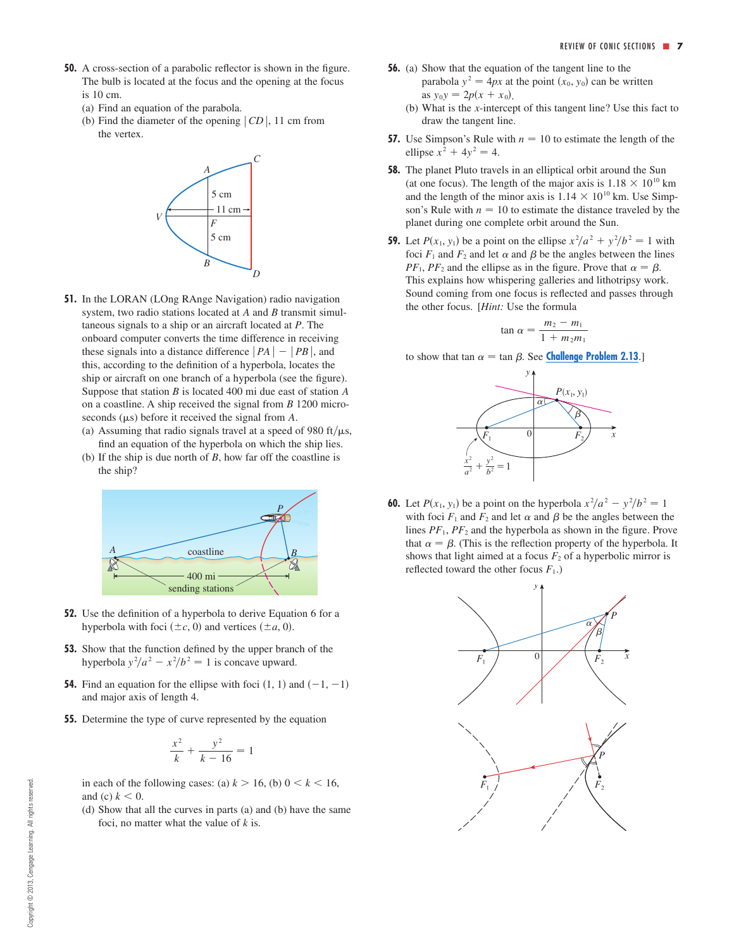- **50.** A cross-section of a parabolic reflector is shown in the figure. The bulb is located at the focus and the opening at the focus is 10 cm.
	- (a) Find an equation of the parabola.
	- (b) Find the diameter of the opening  $|CD|$ , 11 cm from the vertex.



- **51.** In the LORAN (LOng RAnge Navigation) radio navigation system, two radio stations located at  $A$  and  $B$  transmit simultaneous signals to a ship or an aircraft located at P. The onboard computer converts the time difference in receiving these signals into a distance difference  $|PA| - |PB|$ , and this, according to the definition of a hyperbola, locates the ship or aircraft on one branch of a hyperbola (see the figure). Suppose that station  $B$  is located 400 mi due east of station  $A$ on a coastline. A ship received the signal from *B* 1200 microseconds  $(\mu s)$  before it received the signal from  $A$ .
	- (a) Assuming that radio signals travel at a speed of 980 ft/ $\mu$ s,
	- find an equation of the hyperbola on which the ship lies. (b) If the ship is due north of  $B$ , how far off the coastline is the ship?



- **52.** Use the definition of a hyperbola to derive Equation 6 for a hyperbola with foci  $(\pm c, 0)$  and vertices  $(\pm a, 0)$ .
- **53.** Show that the function defined by the upper branch of the hyperbola  $y^2/a^2 - x^2/b^2 = 1$  is concave upward.
- **54.** Find an equation for the ellipse with foci  $(1, 1)$  and  $(-1, -1)$ and major axis of length 4.
- **55.** Determine the type of curve represented by the equation

$$
\frac{x^2}{k} + \frac{y^2}{k - 16} = 1
$$

in each of the following cases: (a)  $k > 16$ , (b)  $0 < k < 16$ , and (c)  $k < 0$ .

(d) Show that all the curves in parts (a) and (b) have the same foci, no matter what the value of  $k$  is.

- **56.** (a) Show that the equation of the tangent line to the parabola  $y^2 = 4px$  at the point  $(x_0, y_0)$  can be written as  $y_0y = 2p(x + x_0)$ .
	- (b) What is the  $x$ -intercept of this tangent line? Use this fact to draw the tangent line.
- **57.** Use Simpson's Rule with  $n = 10$  to estimate the length of the ellipse  $x^2 + 4y^2 = 4$ .
- **58.** The planet Pluto travels in an elliptical orbit around the Sun (at one focus). The length of the major axis is  $1.18 \times 10^{10}$  km and the length of the minor axis is  $1.14 \times 10^{10}$  km. Use Simpson's Rule with  $n = 10$  to estimate the distance traveled by the planet during one complete orbit around the Sun.
- **59.** Let  $P(x_1, y_1)$  be a point on the ellipse  $x^2/a^2 + y^2/b^2 = 1$  with foci  $F_1$  and  $F_2$  and let  $\alpha$  and  $\beta$  be the angles between the lines  $PF_1$ ,  $PF_2$  and the ellipse as in the figure. Prove that  $\alpha = \beta$ . This explains how whispering galleries and lithotripsy work. Sound coming from one focus is reflected and passes through the other focus. [*Hint:* Use the formula

$$
\tan \alpha = \frac{m_2 - m_1}{1 + m_2 m_1}
$$

to show that tan  $\alpha = \tan \beta$ . See **Challenge Problem 2.13**.]



**60.** Let  $P(x_1, y_1)$  be a point on the hyperbola  $x^2/a^2 - y^2/b^2 = 1$ with foci  $F_1$  and  $F_2$  and let  $\alpha$  and  $\beta$  be the angles between the lines  $PF_1$ ,  $PF_2$  and the hyperbola as shown in the figure. Prove that  $\alpha = \beta$ . (This is the reflection property of the hyperbola. It shows that light aimed at a focus  $F_2$  of a hyperbolic mirror is reflected toward the other focus  $F_1$ .)

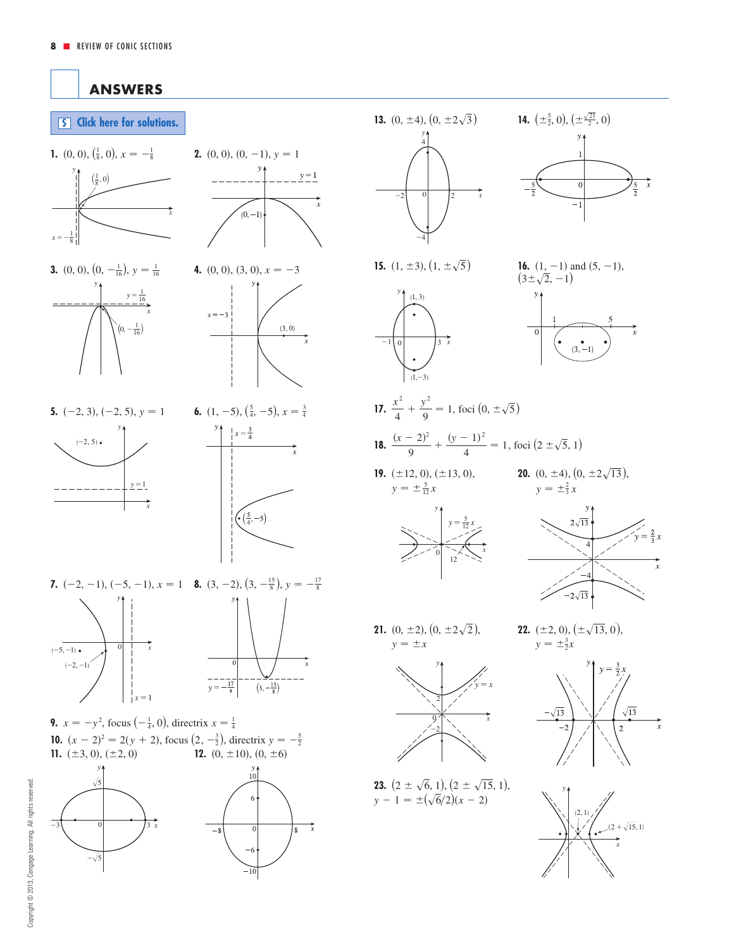<span id="page-7-0"></span>

| 13. $(0, \pm 4), (0, \pm 2\sqrt{3})$                                                        | 14. $(\pm \frac{5}{2}, 0), (\pm \frac{\sqrt{21}}{2}, 0)$                                          |
|---------------------------------------------------------------------------------------------|---------------------------------------------------------------------------------------------------|
| у,<br>4<br>$\overline{0}$<br>$\tilde{x}$<br>$\overline{c}$<br>$\overline{c}$                | 1<br>$\overline{0}$<br>$\tilde{x}$<br>$rac{5}{2}$<br>$\overline{\mathbf{5}}$<br>$\cdot$ 1         |
| 15. $(1, \pm 3), (1, \pm \sqrt{5})$                                                         | <b>16.</b> $(1, -1)$ and $(5, -1)$ ,<br>$(3 \pm \sqrt{2}, -1)$                                    |
| (1, 3)<br>$\overrightarrow{3}$ $\overrightarrow{x}$<br>$1\vert 0$<br>$(1,-3)$               | $\overrightarrow{x}$<br>$\overline{0}$                                                            |
| 17. $rac{x^2}{4} + \frac{y^2}{9} = 1$ , foci $(0, \pm \sqrt{5})$                            |                                                                                                   |
| 18. $\frac{(x-2)^2}{9} + \frac{(y-1)^2}{4} = 1$ , foci $(2 \pm \sqrt{5}, 1)$                |                                                                                                   |
| 19. $(\pm 12, 0), (\pm 13, 0),$<br>$y = \pm \frac{5}{12}x$                                  | <b>20.</b> (0, $\pm$ 4), (0, $\pm$ 2 $\sqrt{13}$ ),<br>$y = \pm \frac{2}{3}x$                     |
| $y = \frac{5}{12}x$ $y = \frac{5}{12}x$ $y = \frac{5}{12}x$                                 | $2\sqrt{13}$<br>$y = \frac{2}{3}x$<br>$\overline{4}$<br>$\overrightarrow{x}$<br>$2\sqrt{ }$<br>13 |
| <b>21.</b> (0, $\pm 2$ ), (0, $\pm 2\sqrt{2}$ ),<br>$y = \pm x$                             | <b>22.</b> ( $\pm 2$ , 0), ( $\pm \sqrt{13}$ , 0),<br>$y = \pm \frac{3}{2}x$                      |
| $\tilde{x}$                                                                                 | $y = \frac{3}{2}x$<br>$\sqrt{13}$<br>13<br>$\overline{2}$                                         |
| <b>23.</b> $(2 \pm \sqrt{6}, 1), (2 \pm \sqrt{15}, 1),$<br>$y - 1 = \pm(\sqrt{6}/2)(x - 2)$ | (2, 1)<br>$(2+\sqrt{15},1)$                                                                       |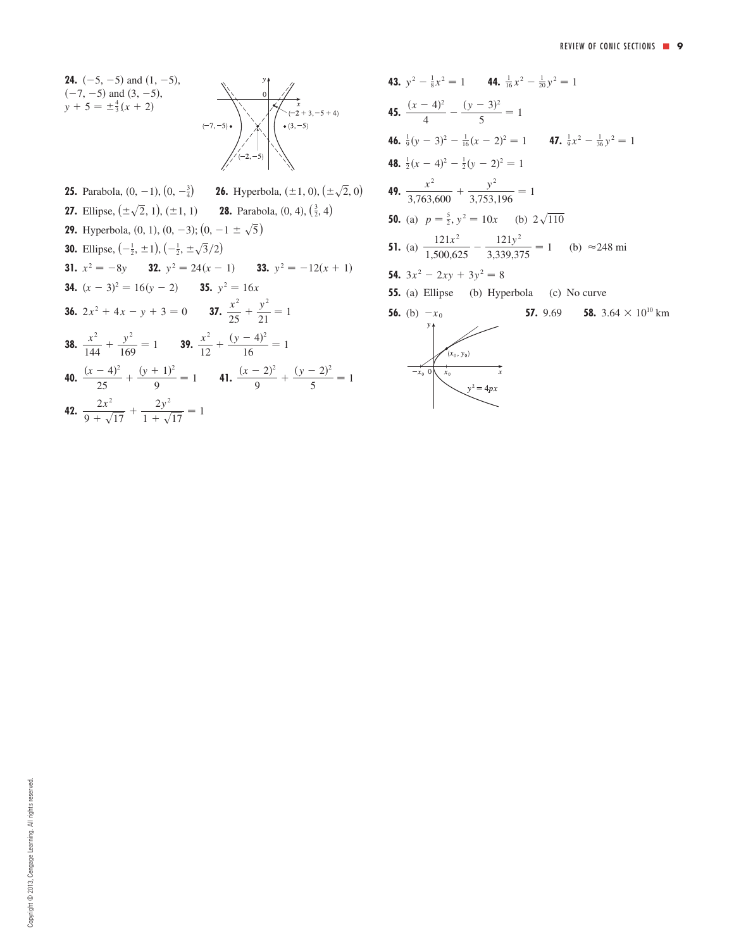**24.**  $(-5, -5)$  and  $(1, -5)$ ,  $(-7, -5)$  and  $(3, -5)$ ,  $y + 5 = \pm \frac{4}{3}(x + 2)$ 



**25.** Parabola,  $(0, -1)$ ,  $(0, -\frac{3}{4})$  **26.** Hyperbola,  $(\pm 1, 0)$ ,  $(\pm \sqrt{2}, 0)$ **27.** Ellipse,  $(\pm \sqrt{2}, 1), (\pm 1, 1)$  **28.** Parabola,  $(0, 4), (\frac{3}{2}, 4)$ **29.** Hyperbola,  $(0, 1)$ ,  $(0, -3)$ ;  $(0, -1 \pm \sqrt{5})$ **30.** Ellipse,  $\left(-\frac{1}{2}, \pm 1\right)$ ,  $\left(-\frac{1}{2}, \pm \sqrt{3}/2\right)$ **31.**  $x^2 = -8y$  **32.**  $y^2 = 24(x - 1)$  **33.**  $y^2 = -12(x + 1)$ **34.**  $(x - 3)^2 = 16(y - 2)$  **35.**  $y^2 = 16x$ **36.**  $2x^2 + 4x - y + 3 = 0$  **37.**  $\frac{x^2}{25}$ **38.**  $\frac{x^2}{144} + \frac{y^2}{169} = 1$  **39.**  $\frac{x^2}{129}$ **40.**  $\frac{(x-4)^2}{25} + \frac{(y+1)^2}{25} = 1$  **41.**  $\frac{(x-2)^2}{25}$ **42.**  $\frac{2x^2}{9 + \sqrt{17}} + \frac{2y^2}{1 + \sqrt{17}}$  $\frac{2}{1 + \sqrt{17}} = 1$  $\frac{(x-4)^2}{25} + \frac{(y+1)^2}{9} = 1$  **41.**  $\frac{(x-2)^2}{9} + \frac{(y-2)^2}{5} = 1$  $\frac{(y+1)^2}{25} + \frac{(y+1)^2}{9} = 1$  $rac{x^2}{144} + \frac{y^2}{169} = 1$  **39.**  $rac{x^2}{12} + \frac{(y-4)^2}{16} = 1$  $rac{x^2}{25} + \frac{y^2}{21}$  $2x^2 + 4x - y + 3 = 0$  **37.**  $\frac{x}{25} + \frac{y}{21} = 1$ 

**43.** 
$$
y^2 - \frac{1}{8}x^2 = 1
$$
 **44.**  $\frac{1}{16}x^2 - \frac{1}{20}y^2 = 1$   
\n**45.**  $\frac{(x-4)^2}{4} - \frac{(y-3)^2}{5} = 1$   
\n**46.**  $\frac{1}{9}(y-3)^2 - \frac{1}{16}(x-2)^2 = 1$  **47.**  $\frac{1}{9}x^2 - \frac{1}{36}y^2 = 1$   
\n**48.**  $\frac{1}{2}(x-4)^2 - \frac{1}{2}(y-2)^2 = 1$   
\n**49.**  $\frac{x^2}{3,763,600} + \frac{y^2}{3,753,196} = 1$   
\n**50.** (a)  $p = \frac{5}{2}, y^2 = 10x$  (b)  $2\sqrt{110}$   
\n**51.** (a)  $\frac{121x^2}{1,500,625} - \frac{121y^2}{3,339,375} = 1$  (b)  $\approx$ 248 mi  
\n**54.**  $3x^2 - 2xy + 3y^2 = 8$   
\n**55.** (a) Ellipse (b) Hyperbola (c) No curve  
\n**56.** (b)  $-x_0$  **57.** 9.69 **58.** 3.64  $\times$  10<sup>10</sup> km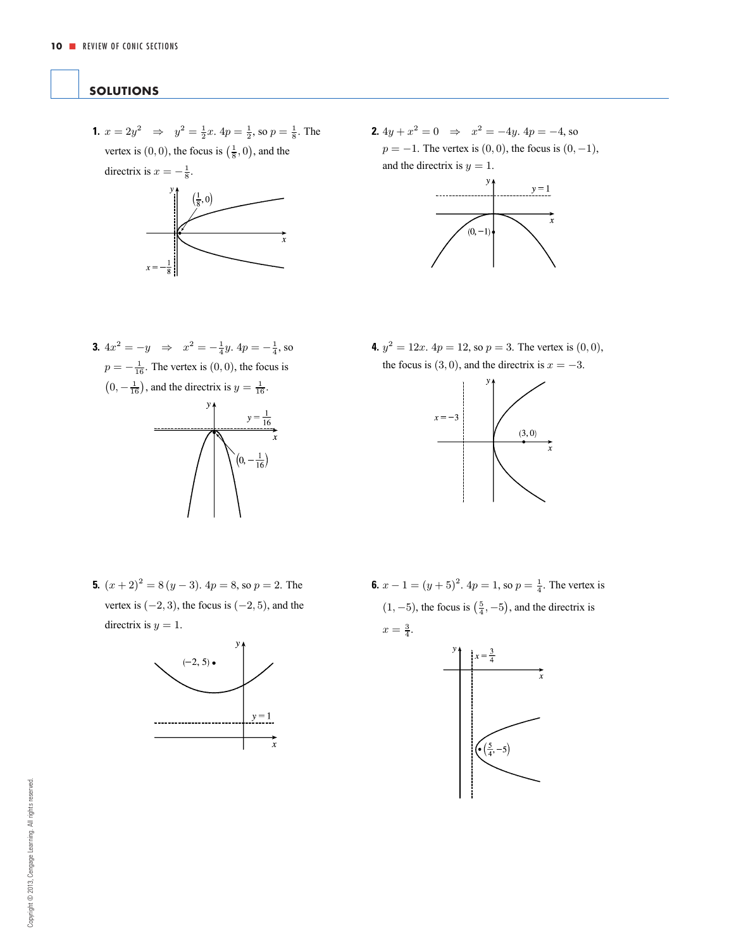## <span id="page-9-0"></span>**SOLUTIONS**

**1.**  $x = 2y^2 \Rightarrow y^2 = \frac{1}{2}x$ .  $4p = \frac{1}{2}$ , so  $p = \frac{1}{8}$ . The vertex is  $(0, 0)$ , the focus is  $(\frac{1}{8}, 0)$ , and the



**2.**  $4y + x^2 = 0 \Rightarrow x^2 = -4y$ .  $4p = -4$ , so  $p = -1$ . The vertex is  $(0, 0)$ , the focus is  $(0, -1)$ , and the directrix is  $y = 1$ .



**3.**  $4x^2 = -y \Rightarrow x^2 = -\frac{1}{4}y$ .  $4p = -\frac{1}{4}$ , so  $p = -\frac{1}{16}$ . The vertex is  $(0, 0)$ , the focus is  $(0, -\frac{1}{16})$ , and the directrix is  $y = \frac{1}{16}$ .



**4.**  $y^2 = 12x$ .  $4p = 12$ , so  $p = 3$ . The vertex is  $(0, 0)$ , the focus is  $(3, 0)$ , and the directrix is  $x = -3$ .



**5.**  $(x+2)^2 = 8(y-3)$ .  $4p = 8$ , so  $p = 2$ . The vertex is  $(-2, 3)$ , the focus is  $(-2, 5)$ , and the directrix is  $y = 1$ .



**6.**  $x - 1 = (y + 5)^2$ .  $4p = 1$ , so  $p = \frac{1}{4}$ . The vertex is  $(1, -5)$ , the focus is  $(\frac{5}{4}, -5)$ , and the directrix is  $x=\frac{3}{4}.$ 

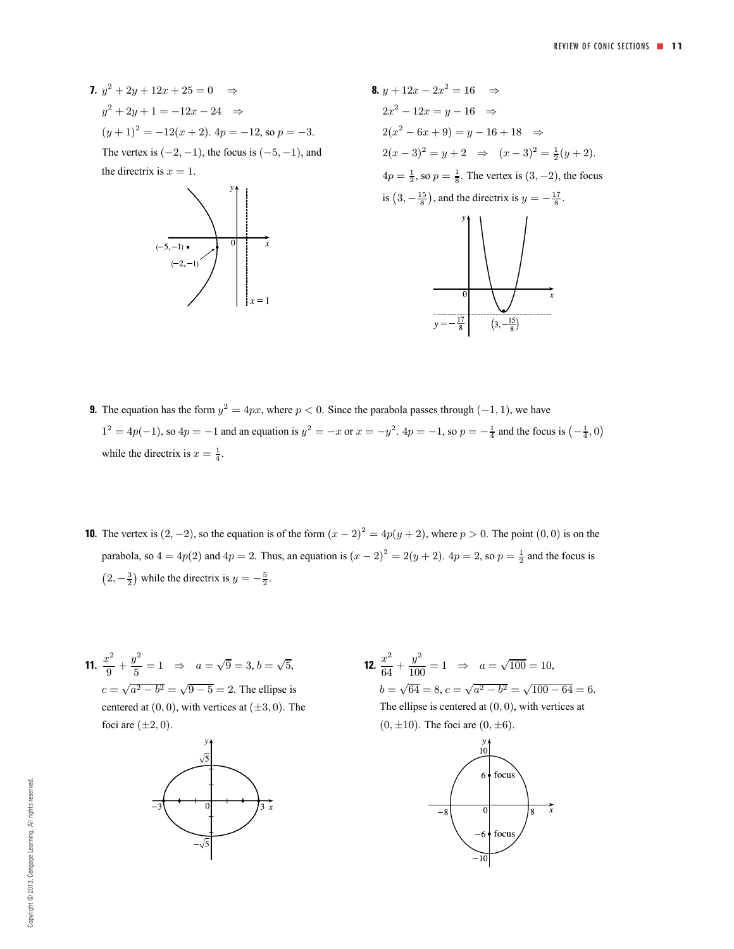**7.**  $y^2 + 2y + 12x + 25 = 0 \Rightarrow$  $y^2 + 2y + 1 = -12x - 24 \Rightarrow$  $(y+1)^2 = -12(x+2)$ .  $4p = -12$ , so  $p = -3$ . The vertex is  $(-2, -1)$ , the focus is  $(-5, -1)$ , and the directrix is  $x = 1$ .





- **9.** The equation has the form  $y^2 = 4px$ , where  $p < 0$ . Since the parabola passes through  $(-1, 1)$ , we have  $1^2 = 4p(-1)$ , so  $4p = -1$  and an equation is  $y^2 = -x$  or  $x = -y^2$ .  $4p = -1$ , so  $p = -\frac{1}{4}$  and the focus is  $\left(-\frac{1}{4}, 0\right)$ while the directrix is  $x = \frac{1}{4}$ .
- **10.** The vertex is  $(2, -2)$ , so the equation is of the form  $(x 2)^2 = 4p(y + 2)$ , where  $p > 0$ . The point  $(0, 0)$  is on the parabola, so  $4 = 4p(2)$  and  $4p = 2$ . Thus, an equation is  $(x - 2)^2 = 2(y + 2)$ .  $4p = 2$ , so  $p = \frac{1}{2}$  and the focus is  $(2, -\frac{3}{2})$  while the directrix is  $y = -\frac{5}{2}$ .
- **11.**  $\frac{x^2}{9} + \frac{y^2}{5} = 1 \Rightarrow a = \sqrt{9} = 3, b = \sqrt{5},$  $c = \sqrt{a^2 - b^2} = \sqrt{9 - 5} = 2$ . The ellipse is centered at  $(0, 0)$ , with vertices at  $(\pm 3, 0)$ . The foci are  $(\pm 2, 0)$ .



**12.**  $\frac{x^2}{64} + \frac{y^2}{100} = 1 \Rightarrow a = \sqrt{100} = 10,$  $b = \sqrt{64} = 8, c = \sqrt{a^2 - b^2} = \sqrt{100 - 64} = 6.$ The ellipse is centered at  $(0, 0)$ , with vertices at  $(0, \pm 10)$ . The foci are  $(0, \pm 6)$ .

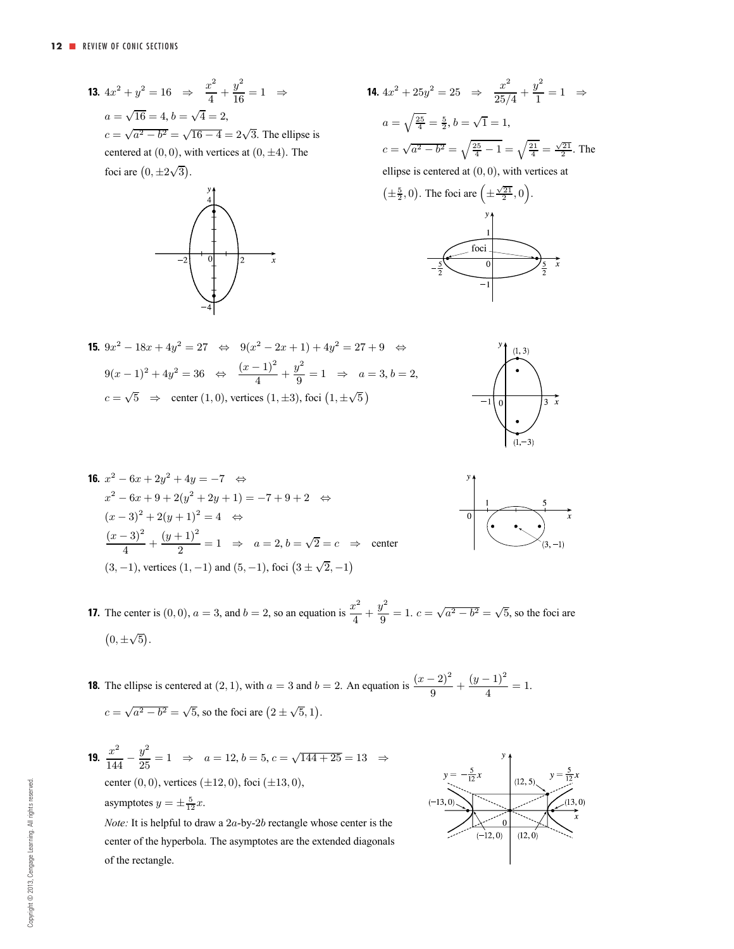**13.**  $4x^2 + y^2 = 16 \Rightarrow \frac{x^2}{4} + \frac{y^2}{16} = 1 \Rightarrow$  $a = \sqrt{16} = 4, b = \sqrt{4} = 2,$  $c = \sqrt{a^2 - b^2} = \sqrt{16 - 4} = 2\sqrt{3}$ . The ellipse is centered at  $(0, 0)$ , with vertices at  $(0, \pm 4)$ . The foci are  $(0, \pm 2\sqrt{3})$ .







**15.**  $9x^2 - 18x + 4y^2 = 27 \Leftrightarrow 9(x^2 - 2x + 1) + 4y^2 = 27 + 9 \Leftrightarrow$  $9(x-1)^2 + 4y^2 = 36 \Leftrightarrow \frac{(x-1)^2}{4} + \frac{y^2}{9} = 1 \Rightarrow a = 3, b = 2,$  $c = \sqrt{5}$   $\Rightarrow$  center (1, 0), vertices (1, ±3), foci (1, ± $\sqrt{5}$ )



**16.** 
$$
x^2 - 6x + 2y^2 + 4y = -7 \Leftrightarrow
$$
  
\n $x^2 - 6x + 9 + 2(y^2 + 2y + 1) = -7 + 9 + 2 \Leftrightarrow$   
\n $(x - 3)^2 + 2(y + 1)^2 = 4 \Leftrightarrow$   
\n $\frac{(x - 3)^2}{4} + \frac{(y + 1)^2}{2} = 1 \Rightarrow a = 2, b = \sqrt{2} = c \Rightarrow$  center  
\n(3, -1), vertices (1, -1) and (5, -1), foci  $(3 \pm \sqrt{2}, -1)$ 



**17.** The center is  $(0, 0)$ ,  $a = 3$ , and  $b = 2$ , so an equation is  $\frac{x^2}{4} + \frac{y^2}{9} = 1$ .  $c = \sqrt{a^2 - b^2} = \sqrt{5}$ , so the foci are  $(0, \pm \sqrt{5}).$ 

- **18.** The ellipse is centered at (2, 1), with  $a = 3$  and  $b = 2$ . An equation is  $\frac{(x-2)^2}{9} + \frac{(y-1)^2}{4} = 1$ .  $c = \sqrt{a^2 - b^2} = \sqrt{5}$ , so the foci are  $(2 \pm \sqrt{5}, 1)$ .
- **19.**  $\frac{x^2}{144} \frac{y^2}{25} = 1 \Rightarrow a = 12, b = 5, c = \sqrt{144 + 25} = 13 \Rightarrow$ center  $(0, 0)$ , vertices  $(\pm 12, 0)$ , foci  $(\pm 13, 0)$ , asymptotes  $y = \pm \frac{5}{12}x$ .

*Note:* It is helpful to draw a 2a-by-2b rectangle whose center is the center of the hyperbola. The asymptotes are the extended diagonals of the rectangle.

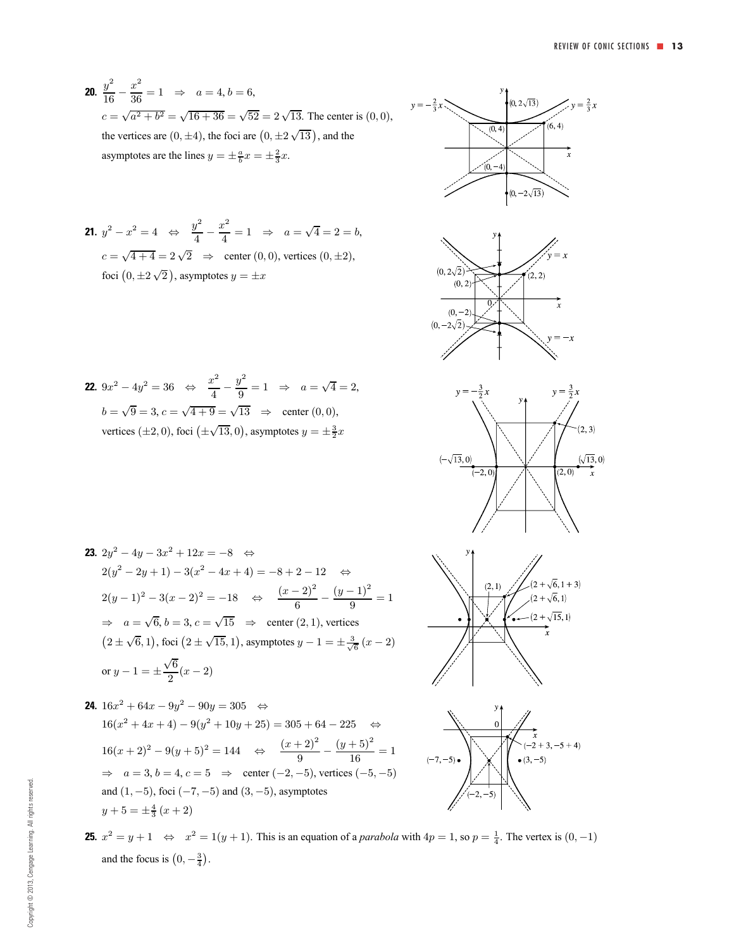**20.**  $\frac{y^2}{16} - \frac{x^2}{36} = 1 \Rightarrow a = 4, b = 6,$  $c = \sqrt{a^2 + b^2} = \sqrt{16 + 36} = \sqrt{52} = 2\sqrt{13}$ . The center is (0,0), the vertices are  $(0, \pm 4)$ , the foci are  $(0, \pm 2\sqrt{13})$ , and the asymptotes are the lines  $y = \pm \frac{a}{b}x = \pm \frac{2}{3}x$ .

**21.** 
$$
y^2 - x^2 = 4 \Leftrightarrow \frac{y^2}{4} - \frac{x^2}{4} = 1 \Rightarrow a = \sqrt{4} = 2 = b,
$$
  
\n $c = \sqrt{4 + 4} = 2\sqrt{2} \Rightarrow$  center (0, 0), vertices (0, ±2),  
\nfoci (0, ±2 $\sqrt{2}$ ), asymptotes  $y = \pm x$ 

**22.** 
$$
9x^2 - 4y^2 = 36 \Leftrightarrow \frac{x^2}{4} - \frac{y^2}{9} = 1 \Rightarrow a = \sqrt{4} = 2,
$$
  
\n $b = \sqrt{9} = 3, c = \sqrt{4 + 9} = \sqrt{13} \Rightarrow \text{center } (0, 0),$   
\nvertices  $(\pm 2, 0)$ , foci  $(\pm \sqrt{13}, 0)$ , asymptotes  $y = \pm \frac{3}{2}x$ 





23. 
$$
2y^2 - 4y - 3x^2 + 12x = -8
$$
  $\Leftrightarrow$   
\n $2(y^2 - 2y + 1) - 3(x^2 - 4x + 4) = -8 + 2 - 12$   $\Leftrightarrow$   
\n $2(y - 1)^2 - 3(x - 2)^2 = -18$   $\Leftrightarrow$   $\frac{(x - 2)^2}{6} - \frac{(y - 1)^2}{9} = 1$   
\n $\Rightarrow a = \sqrt{6}, b = 3, c = \sqrt{15}$   $\Rightarrow$  center (2, 1), vertices  
\n $(2 \pm \sqrt{6}, 1)$ , foci  $(2 \pm \sqrt{15}, 1)$ , asymptotes  $y - 1 = \pm \frac{3}{\sqrt{6}}(x - 2)$   
\nor  $y - 1 = \pm \frac{\sqrt{6}}{2}(x - 2)$ 

**24.** 
$$
16x^2 + 64x - 9y^2 - 90y = 305
$$
  $\Leftrightarrow$   
\n $16(x^2 + 4x + 4) - 9(y^2 + 10y + 25) = 305 + 64 - 225$   $\Leftrightarrow$   
\n $16(x + 2)^2 - 9(y + 5)^2 = 144$   $\Leftrightarrow$   $\frac{(x + 2)^2}{9} - \frac{(y + 5)^2}{16} = 1$   
\n $\Rightarrow a = 3, b = 4, c = 5$   $\Rightarrow$  center (-2, -5), vertices (-5, -5)  
\nand (1, -5), foci (-7, -5) and (3, -5), asymptotes  
\n $y + 5 = \pm \frac{4}{3}(x + 2)$ 





**25.**  $x^2 = y + 1$  ⇔  $x^2 = 1(y + 1)$ . This is an equation of a *parabola* with  $4p = 1$ , so  $p = \frac{1}{4}$ . The vertex is  $(0, -1)$ and the focus is  $(0, -\frac{3}{4})$ .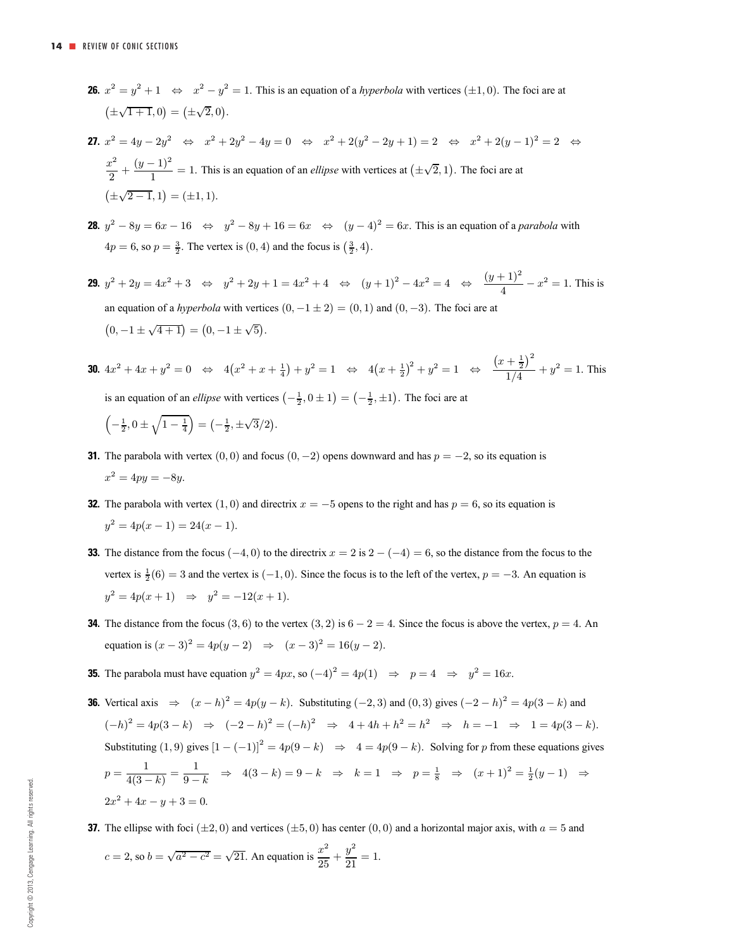- **26.**  $x^2 = y^2 + 1 \Leftrightarrow x^2 y^2 = 1$ . This is an equation of a *hyperbola* with vertices ( $\pm 1, 0$ ). The foci are at  $(\pm\sqrt{1+1},0)=(\pm\sqrt{2},0).$
- **27.**  $x^2 = 4y 2y^2$  ⇔  $x^2 + 2y^2 4y = 0$  ⇔  $x^2 + 2(y^2 2y + 1) = 2$  ⇔  $x^2 + 2(y 1)^2 = 2$  ⇔  $\frac{x^2}{2} + \frac{(y-1)^2}{1} = 1$ . This is an equation of an *ellipse* with vertices at  $(\pm \sqrt{2}, 1)$ . The foci are at  $(\pm\sqrt{2-1},1)=(\pm 1,1).$
- **28.**  $y^2 8y = 6x 16 \Leftrightarrow y^2 8y + 16 = 6x \Leftrightarrow (y 4)^2 = 6x$ . This is an equation of a *parabola* with  $4p = 6$ , so  $p = \frac{3}{2}$ . The vertex is  $(0, 4)$  and the focus is  $(\frac{3}{2}, 4)$ .
- **29.**  $y^2 + 2y = 4x^2 + 3 \Leftrightarrow y^2 + 2y + 1 = 4x^2 + 4 \Leftrightarrow (y+1)^2 4x^2 = 4 \Leftrightarrow \frac{(y+1)^2}{4} x^2 = 1$ . This is an equation of a *hyperbola* with vertices  $(0, -1 \pm 2) = (0, 1)$  and  $(0, -3)$ . The foci are at  $(0, -1 \pm \sqrt{4+1}) = (0, -1 \pm \sqrt{5}).$
- **30.**  $4x^2 + 4x + y^2 = 0 \Leftrightarrow 4(x^2 + x + \frac{1}{4}) + y^2 = 1 \Leftrightarrow 4(x + \frac{1}{2})^2 + y^2 = 1 \Leftrightarrow \frac{(x + \frac{1}{2})^2}{1/4}$  $\frac{1}{1/4} + y^2 = 1$ . This is an equation of an *ellipse* with vertices  $\left(-\frac{1}{2}, 0 \pm 1\right) = \left(-\frac{1}{2}, \pm 1\right)$ . The foci are at

$$
\left(-\frac{1}{2}, 0 \pm \sqrt{1 - \frac{1}{4}}\right) = \left(-\frac{1}{2}, \pm \sqrt{3}/2\right).
$$

- **31.** The parabola with vertex  $(0, 0)$  and focus  $(0, -2)$  opens downward and has  $p = -2$ , so its equation is  $x^2 = 4py = -8y$ .
- **32.** The parabola with vertex  $(1, 0)$  and directrix  $x = -5$  opens to the right and has  $p = 6$ , so its equation is  $y^2 = 4p(x-1) = 24(x-1).$
- **33.** The distance from the focus  $(-4, 0)$  to the directrix  $x = 2$  is  $2 (-4) = 6$ , so the distance from the focus to the vertex is  $\frac{1}{2}(6) = 3$  and the vertex is  $(-1, 0)$ . Since the focus is to the left of the vertex,  $p = -3$ . An equation is  $y^2 = 4p(x+1) \Rightarrow y^2 = -12(x+1).$
- **34.** The distance from the focus (3, 6) to the vertex (3, 2) is  $6 2 = 4$ . Since the focus is above the vertex,  $p = 4$ . An equation is  $(x - 3)^2 = 4p(y - 2) \Rightarrow (x - 3)^2 = 16(y - 2)$ .
- **35.** The parabola must have equation  $y^2 = 4px$ , so  $(-4)^2 = 4p(1) \Rightarrow p = 4 \Rightarrow y^2 = 16x$ .
- **36.** Vertical axis  $\Rightarrow$   $(x h)^2 = 4p(y k)$ . Substituting (−2, 3) and (0, 3) gives  $(-2 h)^2 = 4p(3 k)$  and  $(-h)^2 = 4p(3-k) \Rightarrow (-2-h)^2 = (-h)^2 \Rightarrow 4+4h+h^2 = h^2 \Rightarrow h = -1 \Rightarrow 1 = 4p(3-k).$ Substituting (1, 9) gives  $[1 - (-1)]^2 = 4p(9 - k) \Rightarrow 4 = 4p(9 - k)$ . Solving for p from these equations gives  $p = \frac{1}{4(3-k)} = \frac{1}{9-k}$   $\Rightarrow$   $4(3-k) = 9-k$   $\Rightarrow$   $k=1$   $\Rightarrow$   $p = \frac{1}{8}$   $\Rightarrow$   $(x+1)^2 = \frac{1}{2}(y-1)$   $\Rightarrow$  $2x^2 + 4x - y + 3 = 0.$
- **37.** The ellipse with foci ( $\pm 2, 0$ ) and vertices ( $\pm 5, 0$ ) has center (0, 0) and a horizontal major axis, with  $a = 5$  and

$$
c = 2
$$
, so  $b = \sqrt{a^2 - c^2} = \sqrt{21}$ . An equation is  $\frac{x^2}{25} + \frac{y^2}{21} = 1$ .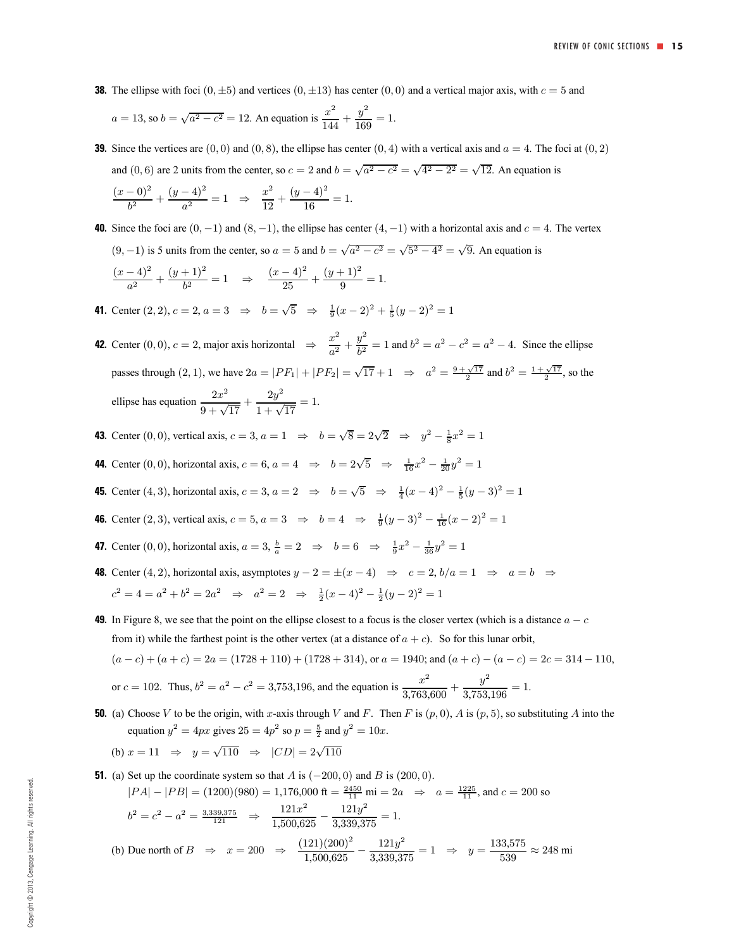**38.** The ellipse with foci  $(0, \pm 5)$  and vertices  $(0, \pm 13)$  has center  $(0, 0)$  and a vertical major axis, with  $c = 5$  and

$$
a = 13
$$
, so  $b = \sqrt{a^2 - c^2} = 12$ . An equation is  $\frac{x^2}{144} + \frac{y^2}{169} = 1$ .

- **39.** Since the vertices are  $(0, 0)$  and  $(0, 8)$ , the ellipse has center  $(0, 4)$  with a vertical axis and  $a = 4$ . The foci at  $(0, 2)$ and (0, 6) are 2 units from the center, so  $c = 2$  and  $b = \sqrt{a^2 - c^2} = \sqrt{4^2 - 2^2} = \sqrt{12}$ . An equation is  $\frac{(x-0)^2}{b^2} + \frac{(y-4)^2}{a^2} = 1 \Rightarrow \frac{x^2}{12} + \frac{(y-4)^2}{16} = 1.$
- **40.** Since the foci are  $(0, -1)$  and  $(8, -1)$ , the ellipse has center  $(4, -1)$  with a horizontal axis and  $c = 4$ . The vertex  $(9, -1)$  is 5 units from the center, so  $a = 5$  and  $b = \sqrt{a^2 - c^2} = \sqrt{5^2 - 4^2} = \sqrt{9}$ . An equation is  $\frac{(x-4)^2}{a^2} + \frac{(y+1)^2}{b^2} = 1 \Rightarrow \frac{(x-4)^2}{25} + \frac{(y+1)^2}{9} = 1.$
- **41.** Center  $(2, 2)$ ,  $c = 2$ ,  $a = 3 \Rightarrow b = \sqrt{5} \Rightarrow \frac{1}{9}(x 2)^2 + \frac{1}{5}(y 2)^2 = 1$
- **42.** Center  $(0, 0)$ ,  $c = 2$ , major axis horizontal  $\Rightarrow \frac{x^2}{a^2} + \frac{y^2}{b^2} = 1$  and  $b^2 = a^2 c^2 = a^2 4$ . Since the ellipse passes through (2, 1), we have  $2a = |PF_1| + |PF_2| = \sqrt{17} + 1 \Rightarrow a^2 = \frac{9 + \sqrt{17}}{2}$  and  $b^2 = \frac{1 + \sqrt{17}}{2}$ , so the ellipse has equation  $\frac{2x^2}{9 + \sqrt{17}} + \frac{2y^2}{1 + \sqrt{17}}$  $\frac{29}{1+\sqrt{17}} = 1.$
- **43.** Center (0, 0), vertical axis,  $c = 3$ ,  $a = 1 \Rightarrow b = \sqrt{8} = 2\sqrt{2} \Rightarrow y^2 \frac{1}{8}x^2 = 1$
- **44.** Center (0, 0), horizontal axis,  $c = 6$ ,  $a = 4 \Rightarrow b = 2\sqrt{5} \Rightarrow \frac{1}{16}x^2 \frac{1}{20}y^2 = 1$
- **45.** Center (4, 3), horizontal axis,  $c = 3$ ,  $a = 2 \Rightarrow b = \sqrt{5} \Rightarrow \frac{1}{4}(x-4)^2 \frac{1}{5}(y-3)^2 = 1$
- **46.** Center (2, 3), vertical axis,  $c = 5$ ,  $a = 3 \Rightarrow b = 4 \Rightarrow \frac{1}{9}(y-3)^2 \frac{1}{16}(x-2)^2 = 1$
- **47.** Center (0, 0), horizontal axis,  $a = 3$ ,  $\frac{b}{a} = 2 \Rightarrow b = 6 \Rightarrow \frac{1}{9}x^2 \frac{1}{36}y^2 = 1$
- **48.** Center (4, 2), horizontal axis, asymptotes  $y 2 = \pm (x 4) \Rightarrow c = 2, b/a = 1 \Rightarrow a = b \Rightarrow$  $c^2 = 4 = a^2 + b^2 = 2a^2 \Rightarrow a^2 = 2 \Rightarrow \frac{1}{2}(x-4)^2 - \frac{1}{2}(y-2)^2 = 1$
- **49.** In Figure 8, we see that the point on the ellipse closest to a focus is the closer vertex (which is a distance  $a c$ from it) while the farthest point is the other vertex (at a distance of  $a + c$ ). So for this lunar orbit,  $(a-c)+(a+c)=2a = (1728 + 110) + (1728 + 314)$ , or  $a = 1940$ ; and  $(a + c) - (a - c) = 2c = 314 - 110$ ,

or 
$$
c = 102
$$
. Thus,  $b^2 = a^2 - c^2 = 3{,}753{,}196$ , and the equation is  $\frac{x^2}{3{,}763{,}600} + \frac{y^2}{3{,}753{,}196} = 1$ .

**50.** (a) Choose V to be the origin, with x-axis through V and F. Then F is  $(p, 0)$ , A is  $(p, 5)$ , so substituting A into the equation  $y^2 = 4px$  gives  $25 = 4p^2$  so  $p = \frac{5}{2}$  and  $y^2 = 10x$ .

(b) 
$$
x = 11 \Rightarrow y = \sqrt{110} \Rightarrow |CD| = 2\sqrt{110}
$$

**51.** (a) Set up the coordinate system so that A is  $(-200, 0)$  and B is  $(200, 0)$ .

$$
|PA| - |PB| = (1200)(980) = 1,176,000 \text{ ft} = \frac{2450}{11} \text{ mi} = 2a \implies a = \frac{1225}{11}, \text{ and } c = 200 \text{ so}
$$
  

$$
b^2 = c^2 - a^2 = \frac{3.339.375}{121} \implies \frac{121x^2}{1,500,625} - \frac{121y^2}{3,339,375} = 1.
$$

(b) Due north of  $B \Rightarrow x = 200 \Rightarrow \frac{(121)(200)^2}{1,500,625} - \frac{121y^2}{3,339,375} = 1 \Rightarrow y = \frac{133,575}{539} \approx 248 \text{ mi}$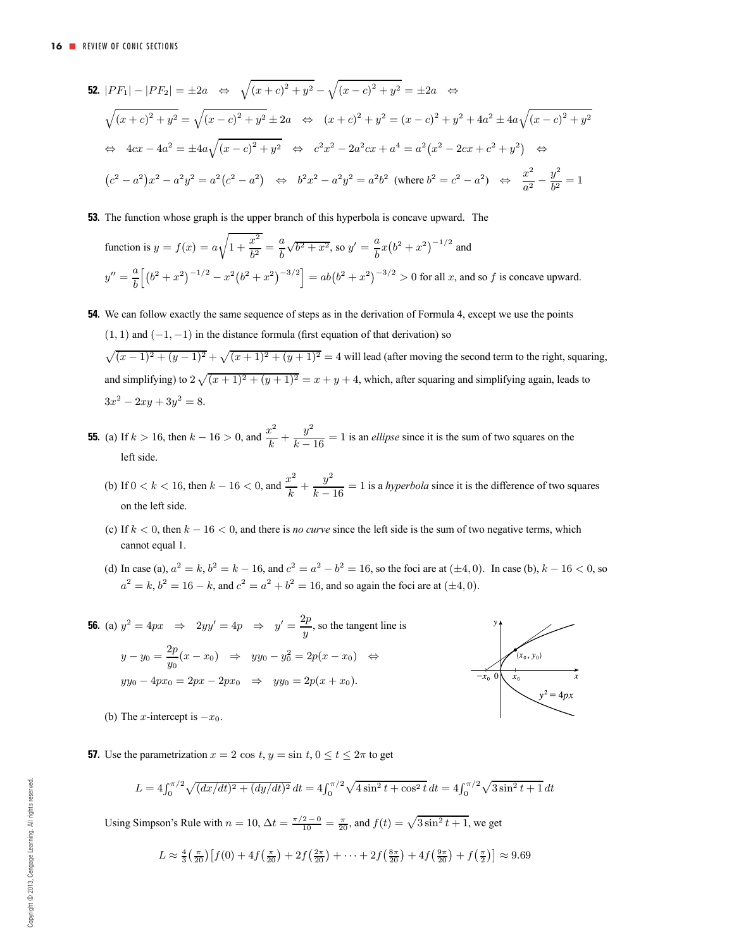$$
52. |PF_1| - |PF_2| = \pm 2a \iff \sqrt{(x+c)^2 + y^2} - \sqrt{(x-c)^2 + y^2} = \pm 2a \iff
$$
  

$$
\sqrt{(x+c)^2 + y^2} = \sqrt{(x-c)^2 + y^2} \pm 2a \iff (x+c)^2 + y^2 = (x-c)^2 + y^2 + 4a^2 \pm 4a\sqrt{(x-c)^2 + y^2}
$$
  

$$
\iff 4cx - 4a^2 = \pm 4a\sqrt{(x-c)^2 + y^2} \iff c^2x^2 - 2a^2cx + a^4 = a^2(x^2 - 2cx + c^2 + y^2) \iff
$$
  

$$
(c^2 - a^2)x^2 - a^2y^2 = a^2(c^2 - a^2) \iff b^2x^2 - a^2y^2 = a^2b^2 \text{ (where } b^2 = c^2 - a^2) \iff \frac{x^2}{a^2} - \frac{y^2}{b^2} = 1
$$

**53.** The function whose graph is the upper branch of this hyperbola is concave upward. The

function is 
$$
y = f(x) = a\sqrt{1 + \frac{x^2}{b^2}} = \frac{a}{b}\sqrt{b^2 + x^2}
$$
, so  $y' = \frac{a}{b}x(b^2 + x^2)^{-1/2}$  and  
\n
$$
y'' = \frac{a}{b} \Big[ (b^2 + x^2)^{-1/2} - x^2(b^2 + x^2)^{-3/2} \Big] = ab(b^2 + x^2)^{-3/2} > 0 \text{ for all } x \text{, and so } f \text{ is concave upward.}
$$

- **54.** We can follow exactly the same sequence of steps as in the derivation of Formula 4, except we use the points  $(1, 1)$  and  $(-1, -1)$  in the distance formula (first equation of that derivation) so  $\sqrt{(x-1)^2 + (y-1)^2} + \sqrt{(x+1)^2 + (y+1)^2} = 4$  will lead (after moving the second term to the right, squaring, and simplifying) to  $2\sqrt{(x+1)^2 + (y+1)^2} = x + y + 4$ , which, after squaring and simplifying again, leads to  $3x^2 - 2xy + 3y^2 = 8.$
- **55.** (a) If  $k > 16$ , then  $k 16 > 0$ , and  $\frac{x^2}{k} + \frac{y^2}{k 16} = 1$  is an *ellipse* since it is the sum of two squares on the left side.
	- (b) If  $0 < k < 16$ , then  $k 16 < 0$ , and  $\frac{x^2}{k} + \frac{y^2}{k 16} = 1$  is a *hyperbola* since it is the difference of two squares on the left side.
	- (c) If  $k < 0$ , then  $k 16 < 0$ , and there is *no curve* since the left side is the sum of two negative terms, which cannot equal 1.
	- (d) In case (a),  $a^2 = k$ ,  $b^2 = k 16$ , and  $c^2 = a^2 b^2 = 16$ , so the foci are at  $(\pm 4, 0)$ . In case (b),  $k 16 < 0$ , so  $a^2 = k$ ,  $b^2 = 16 - k$ , and  $c^2 = a^2 + b^2 = 16$ , and so again the foci are at  $(\pm 4, 0)$ .

**56.** (a)  $y^2 = 4px \Rightarrow 2yy' = 4p \Rightarrow y' = \frac{2p}{y}$ , so the tangent line is  $y - y_0 = \frac{2p}{y_0}(x - x_0) \Rightarrow yy_0 - y_0^2 = 2p(x - x_0) \Leftrightarrow$  $yy_0 - 4px_0 = 2px - 2px_0 \Rightarrow yy_0 = 2p(x + x_0).$ 



(b) The x-intercept is  $-x_0$ .

**57.** Use the parametrization  $x = 2 \cos t$ ,  $y = \sin t$ ,  $0 \le t \le 2\pi$  to get

$$
L = 4\int_0^{\pi/2} \sqrt{(dx/dt)^2 + (dy/dt)^2} dt = 4\int_0^{\pi/2} \sqrt{4\sin^2 t + \cos^2 t} dt = 4\int_0^{\pi/2} \sqrt{3\sin^2 t + 1} dt
$$

Using Simpson's Rule with  $n = 10$ ,  $\Delta t = \frac{\pi/2 - 0}{10} = \frac{\pi}{20}$ , and  $f(t) = \sqrt{3 \sin^2 t + 1}$ , we get

$$
L \approx \frac{4}{3} \left( \frac{\pi}{20} \right) \left[ f(0) + 4f \left( \frac{\pi}{20} \right) + 2f \left( \frac{2\pi}{20} \right) + \dots + 2f \left( \frac{8\pi}{20} \right) + 4f \left( \frac{9\pi}{20} \right) + f \left( \frac{\pi}{2} \right) \right] \approx 9.69
$$